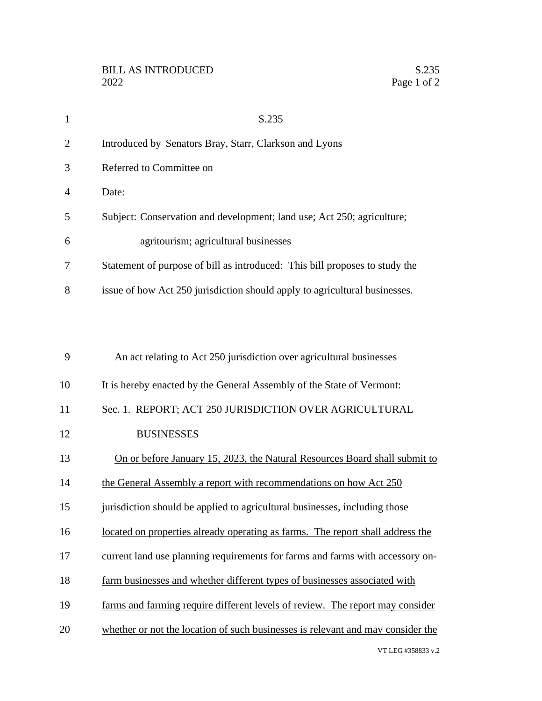| $\mathbf{1}$ | S.235                                                                           |
|--------------|---------------------------------------------------------------------------------|
| 2            | Introduced by Senators Bray, Starr, Clarkson and Lyons                          |
| 3            | Referred to Committee on                                                        |
| 4            | Date:                                                                           |
| 5            | Subject: Conservation and development; land use; Act 250; agriculture;          |
| 6            | agritourism; agricultural businesses                                            |
| 7            | Statement of purpose of bill as introduced: This bill proposes to study the     |
| 8            | issue of how Act 250 jurisdiction should apply to agricultural businesses.      |
|              |                                                                                 |
|              |                                                                                 |
| 9            | An act relating to Act 250 jurisdiction over agricultural businesses            |
| 10           | It is hereby enacted by the General Assembly of the State of Vermont:           |
| 11           | Sec. 1. REPORT; ACT 250 JURISDICTION OVER AGRICULTURAL                          |
| 12           | <b>BUSINESSES</b>                                                               |
| 13           | On or before January 15, 2023, the Natural Resources Board shall submit to      |
| 14           | the General Assembly a report with recommendations on how Act 250               |
| 15           | jurisdiction should be applied to agricultural businesses, including those      |
| 16           | located on properties already operating as farms. The report shall address the  |
| 17           | current land use planning requirements for farms and farms with accessory on-   |
| 18           | farm businesses and whether different types of businesses associated with       |
| 19           | farms and farming require different levels of review. The report may consider   |
| 20           | whether or not the location of such businesses is relevant and may consider the |